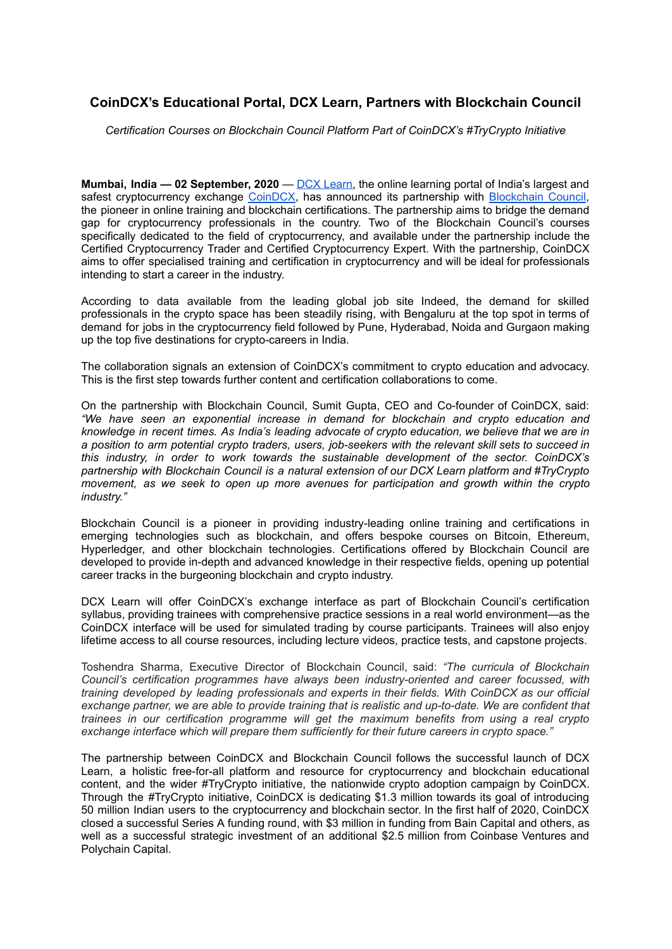## **CoinDCX's Educational Portal, DCX Learn, Partners with Blockchain Council**

*Certification Courses on Blockchain Council Platform Part of CoinDCX's #TryCrypto Initiative*

**Mumbai, India — 02 September, 2020** — DCX [Learn,](https://dcxlearn.com/) the online learning portal of India's largest and safest cryptocurrency exchange [CoinDCX](https://coindcx.com/), has announced its partnership with [Blockchain](https://www.blockchain-council.org/partner/2/?utm_source=dcxlearn) Council, the pioneer in online training and blockchain certifications. The partnership aims to bridge the demand gap for cryptocurrency professionals in the country. Two of the Blockchain Council's courses specifically dedicated to the field of cryptocurrency, and available under the partnership include the Certified Cryptocurrency Trader and Certified Cryptocurrency Expert. With the partnership, CoinDCX aims to offer specialised training and certification in cryptocurrency and will be ideal for professionals intending to start a career in the industry.

According to data available from the leading global job site Indeed, the demand for skilled professionals in the crypto space has been steadily rising, with Bengaluru at the top spot in terms of demand for jobs in the cryptocurrency field followed by Pune, Hyderabad, Noida and Gurgaon making up the top five destinations for crypto-careers in India.

The collaboration signals an extension of CoinDCX's commitment to crypto education and advocacy. This is the first step towards further content and certification collaborations to come.

On the partnership with Blockchain Council, Sumit Gupta, CEO and Co-founder of CoinDCX, said: *"We have seen an exponential increase in demand for blockchain and crypto education and knowledge in recent times. As India's leading advocate of crypto education, we believe that we are in a position to arm potential crypto traders, users, job-seekers with the relevant skill sets to succeed in this industry, in order to work towards the sustainable development of the sector. CoinDCX's partnership with Blockchain Council is a natural extension of our DCX Learn platform and #TryCrypto movement, as we seek to open up more avenues for participation and growth within the crypto industry."*

Blockchain Council is a pioneer in providing industry-leading online training and certifications in emerging technologies such as blockchain, and offers bespoke courses on Bitcoin, Ethereum, Hyperledger, and other blockchain technologies. Certifications offered by Blockchain Council are developed to provide in-depth and advanced knowledge in their respective fields, opening up potential career tracks in the burgeoning blockchain and crypto industry.

DCX Learn will offer CoinDCX's exchange interface as part of Blockchain Council's certification syllabus, providing trainees with comprehensive practice sessions in a real world environment—as the CoinDCX interface will be used for simulated trading by course participants. Trainees will also enjoy lifetime access to all course resources, including lecture videos, practice tests, and capstone projects.

Toshendra Sharma, Executive Director of Blockchain Council, said: *"The curricula of Blockchain Council's certification programmes have always been industry-oriented and career focussed, with training developed by leading professionals and experts in their fields. With CoinDCX as our official exchange partner, we are able to provide training that is realistic and up-to-date. We are confident that trainees in our certification programme will get the maximum benefits from using a real crypto exchange interface which will prepare them sufficiently for their future careers in crypto space."*

The partnership between CoinDCX and Blockchain Council follows the successful launch of DCX Learn, a holistic free-for-all platform and resource for cryptocurrency and blockchain educational content, and the wider #TryCrypto initiative, the nationwide crypto adoption campaign by CoinDCX. Through the #TryCrypto initiative, CoinDCX is dedicating \$1.3 million towards its goal of introducing 50 million Indian users to the cryptocurrency and blockchain sector. In the first half of 2020, CoinDCX closed a successful Series A funding round, with \$3 million in funding from Bain Capital and others, as well as a successful strategic investment of an additional \$2.5 million from Coinbase Ventures and Polychain Capital.